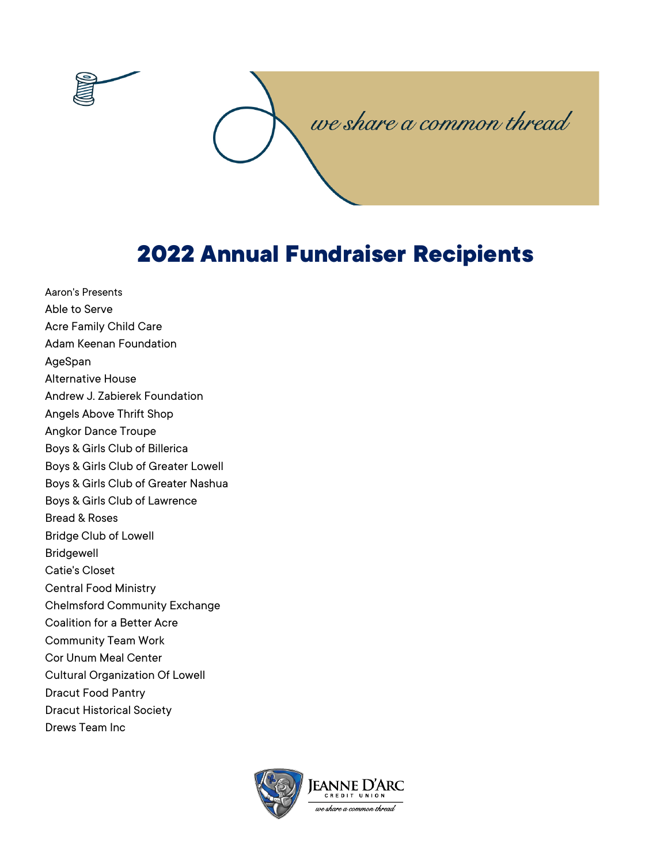

## **2022 Annual Fundraiser Recipients**

Aaron's Presents Able to Serve Acre Family Child Care Adam Keenan Foundation AgeSpan Alternative House Andrew J. Zabierek Foundation Angels Above Thrift Shop Angkor Dance Troupe Boys & Girls Club of Billerica Boys & Girls Club of Greater Lowell Boys & Girls Club of Greater Nashua Boys & Girls Club of Lawrence Bread & Roses Bridge Club of Lowell Bridgewell Catie's Closet Central Food Ministry Chelmsford Community Exchange Coalition for a Better Acre Community Team Work Cor Unum Meal Center Cultural Organization Of Lowell Dracut Food Pantry Dracut Historical Society Drews Team Inc

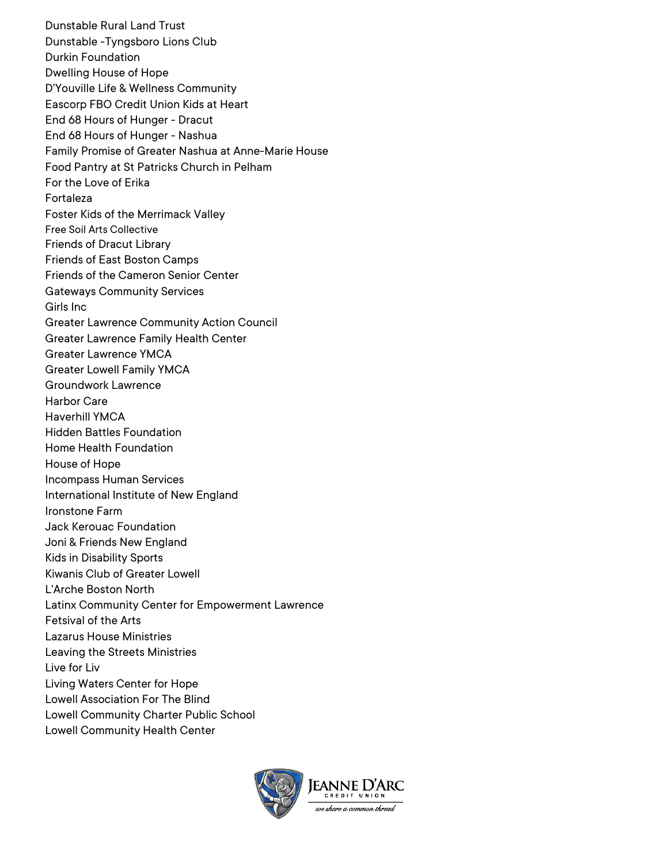Dunstable Rural Land Trust Dunstable -Tyngsboro Lions Club Durkin Foundation Dwelling House of Hope D'Youville Life & Wellness Community Eascorp FBO Credit Union Kids at Heart End 68 Hours of Hunger - Dracut End 68 Hours of Hunger - Nashua Family Promise of Greater Nashua at Anne-Marie House Food Pantry at St Patricks Church in Pelham For the Love of Erika Fortaleza Foster Kids of the Merrimack Valley Free Soil Arts Collective Friends of Dracut Library Friends of East Boston Camps Friends of the Cameron Senior Center Gateways Community Services Girls Inc Greater Lawrence Community Action Council Greater Lawrence Family Health Center Greater Lawrence YMCA Greater Lowell Family YMCA Groundwork Lawrence Harbor Care Haverhill YMCA Hidden Battles Foundation Home Health Foundation House of Hope Incompass Human Services International Institute of New England Ironstone Farm Jack Kerouac Foundation Joni & Friends New England Kids in Disability Sports Kiwanis Club of Greater Lowell L'Arche Boston North Latinx Community Center for Empowerment Lawrence Fetsival of the Arts Lazarus House Ministries Leaving the Streets Ministries Live for Liv Living Waters Center for Hope Lowell Association For The Blind Lowell Community Charter Public School Lowell Community Health Center

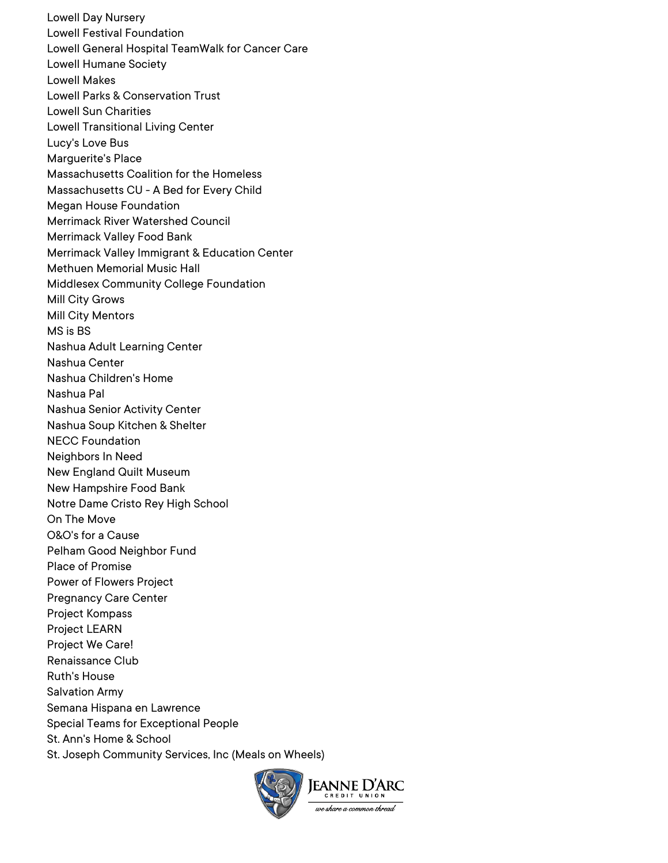Lowell Day Nursery Lowell Festival Foundation Lowell General Hospital TeamWalk for Cancer Care Lowell Humane Society Lowell Makes Lowell Parks & Conservation Trust Lowell Sun Charities Lowell Transitional Living Center Lucy's Love Bus Marguerite's Place Massachusetts Coalition for the Homeless Massachusetts CU - A Bed for Every Child Megan House Foundation Merrimack River Watershed Council Merrimack Valley Food Bank Merrimack Valley Immigrant & Education Center Methuen Memorial Music Hall Middlesex Community College Foundation Mill City Grows Mill City Mentors MS is BS Nashua Adult Learning Center Nashua Center Nashua Children's Home Nashua Pal Nashua Senior Activity Center Nashua Soup Kitchen & Shelter NECC Foundation Neighbors In Need New England Quilt Museum New Hampshire Food Bank Notre Dame Cristo Rey High School On The Move O&O's for a Cause Pelham Good Neighbor Fund Place of Promise Power of Flowers Project Pregnancy Care Center Project Kompass Project LEARN Project We Care! Renaissance Club Ruth's House Salvation Army Semana Hispana en Lawrence Special Teams for Exceptional People St. Ann's Home & School St. Joseph Community Services, Inc (Meals on Wheels)